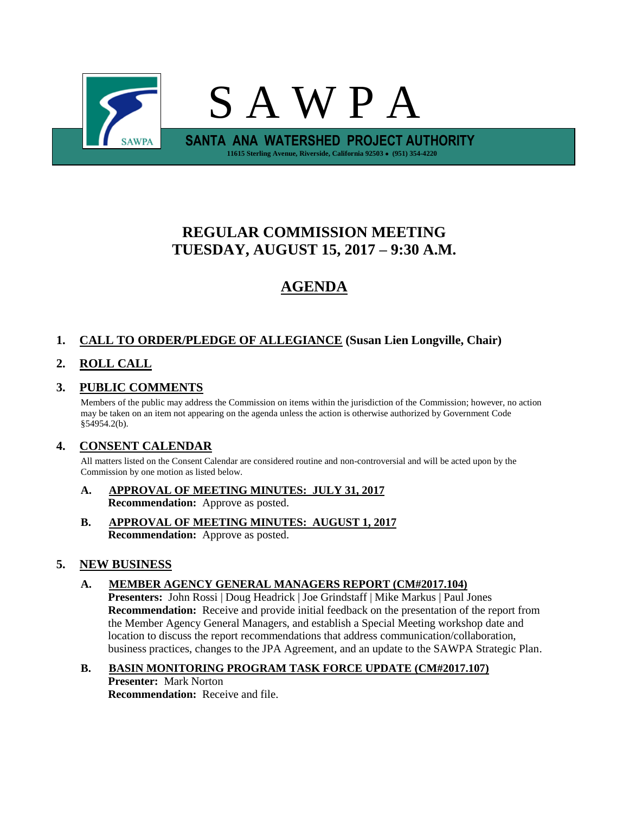

# **REGULAR COMMISSION MEETING TUESDAY, AUGUST 15, 2017 – 9:30 A.M.**

# **AGENDA**

## **1. CALL TO ORDER/PLEDGE OF ALLEGIANCE (Susan Lien Longville, Chair)**

## **2. ROLL CALL**

## **3. PUBLIC COMMENTS**

Members of the public may address the Commission on items within the jurisdiction of the Commission; however, no action may be taken on an item not appearing on the agenda unless the action is otherwise authorized by Government Code §54954.2(b).

## **4. CONSENT CALENDAR**

All matters listed on the Consent Calendar are considered routine and non-controversial and will be acted upon by the Commission by one motion as listed below.

- **A. APPROVAL OF MEETING MINUTES: JULY 31, 2017 Recommendation:** Approve as posted.
- **B. APPROVAL OF MEETING MINUTES: AUGUST 1, 2017 Recommendation:** Approve as posted.

## **5. NEW BUSINESS**

### **A. MEMBER AGENCY GENERAL MANAGERS REPORT (CM#2017.104)**

**Presenters:** John Rossi | Doug Headrick | Joe Grindstaff | Mike Markus | Paul Jones **Recommendation:** Receive and provide initial feedback on the presentation of the report from the Member Agency General Managers, and establish a Special Meeting workshop date and location to discuss the report recommendations that address communication/collaboration, business practices, changes to the JPA Agreement, and an update to the SAWPA Strategic Plan.

**B. BASIN MONITORING PROGRAM TASK FORCE UPDATE (CM#2017.107) Presenter:** Mark Norton **Recommendation:** Receive and file.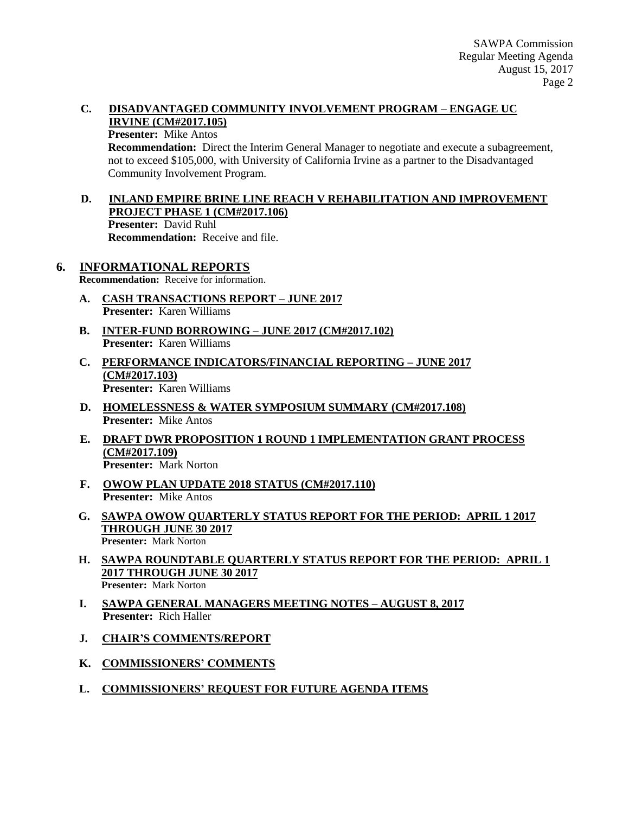## **C. DISADVANTAGED COMMUNITY INVOLVEMENT PROGRAM – ENGAGE UC IRVINE (CM#2017.105)**

#### **Presenter:** Mike Antos

**Recommendation:** Direct the Interim General Manager to negotiate and execute a subagreement, not to exceed \$105,000, with University of California Irvine as a partner to the Disadvantaged Community Involvement Program.

### **D. INLAND EMPIRE BRINE LINE REACH V REHABILITATION AND IMPROVEMENT PROJECT PHASE 1 (CM#2017.106) Presenter:** David Ruhl **Recommendation:** Receive and file.

## **6. INFORMATIONAL REPORTS**

**Recommendation:** Receive for information.

- **A. CASH TRANSACTIONS REPORT – JUNE 2017 Presenter:** Karen Williams
- **B. INTER-FUND BORROWING – JUNE 2017 (CM#2017.102) Presenter:** Karen Williams
- **C. PERFORMANCE INDICATORS/FINANCIAL REPORTING – JUNE 2017 (CM#2017.103) Presenter:** Karen Williams
- **D. HOMELESSNESS & WATER SYMPOSIUM SUMMARY (CM#2017.108) Presenter:** Mike Antos
- **E. DRAFT DWR PROPOSITION 1 ROUND 1 IMPLEMENTATION GRANT PROCESS (CM#2017.109) Presenter:** Mark Norton
- **F. OWOW PLAN UPDATE 2018 STATUS (CM#2017.110) Presenter:** Mike Antos
- **G. SAWPA OWOW QUARTERLY STATUS REPORT FOR THE PERIOD: APRIL 1 2017 THROUGH JUNE 30 2017 Presenter:** Mark Norton
- **H. SAWPA ROUNDTABLE QUARTERLY STATUS REPORT FOR THE PERIOD: APRIL 1 2017 THROUGH JUNE 30 2017 Presenter:** Mark Norton
- **I. SAWPA GENERAL MANAGERS MEETING NOTES – AUGUST 8, 2017 Presenter:** Rich Haller
- **J. CHAIR'S COMMENTS/REPORT**
- **K. COMMISSIONERS' COMMENTS**
- **L. COMMISSIONERS' REQUEST FOR FUTURE AGENDA ITEMS**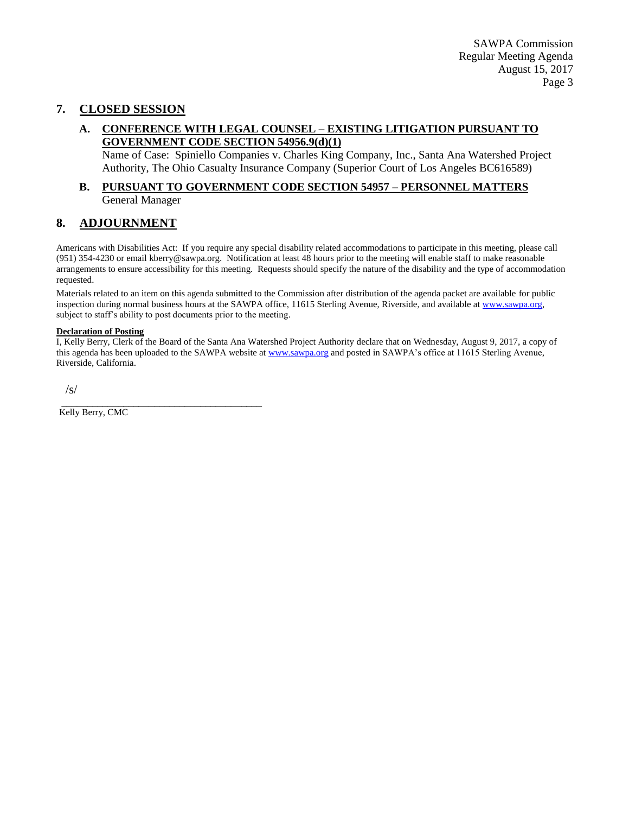## **7. CLOSED SESSION**

### **A. CONFERENCE WITH LEGAL COUNSEL – EXISTING LITIGATION PURSUANT TO GOVERNMENT CODE SECTION 54956.9(d)(1)**

Name of Case: Spiniello Companies v. Charles King Company, Inc., Santa Ana Watershed Project Authority, The Ohio Casualty Insurance Company (Superior Court of Los Angeles BC616589)

#### **B. PURSUANT TO GOVERNMENT CODE SECTION 54957 – PERSONNEL MATTERS** General Manager

## **8. ADJOURNMENT**

Americans with Disabilities Act: If you require any special disability related accommodations to participate in this meeting, please call (951) 354-4230 or email kberry@sawpa.org. Notification at least 48 hours prior to the meeting will enable staff to make reasonable arrangements to ensure accessibility for this meeting. Requests should specify the nature of the disability and the type of accommodation requested.

Materials related to an item on this agenda submitted to the Commission after distribution of the agenda packet are available for public inspection during normal business hours at the SAWPA office, 11615 Sterling Avenue, Riverside, and available a[t www.sawpa.org,](http://www.sawpa.org/) subject to staff's ability to post documents prior to the meeting.

#### **Declaration of Posting**

I, Kelly Berry, Clerk of the Board of the Santa Ana Watershed Project Authority declare that on Wednesday, August 9, 2017, a copy of this agenda has been uploaded to the SAWPA website at [www.sawpa.org](http://www.sawpa.org/) and posted in SAWPA's office at 11615 Sterling Avenue, Riverside, California.

/s/

\_\_\_\_\_\_\_\_\_\_\_\_\_\_\_\_\_\_\_\_\_\_\_\_\_\_\_\_\_\_\_\_\_\_\_\_\_\_\_ Kelly Berry, CMC